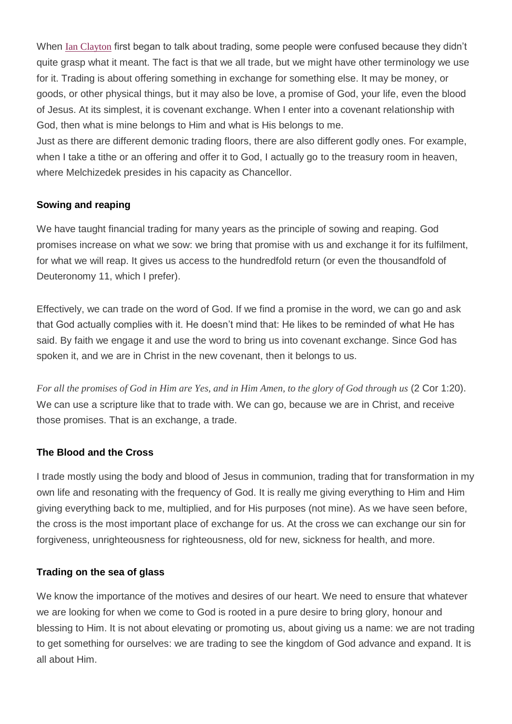When Ian [Clayton](http://www.sonofthunder.org/) first began to talk about trading, some people were confused because they didn't quite grasp what it meant. The fact is that we all trade, but we might have other terminology we use for it. Trading is about offering something in exchange for something else. It may be money, or goods, or other physical things, but it may also be love, a promise of God, your life, even the blood of Jesus. At its simplest, it is covenant exchange. When I enter into a covenant relationship with God, then what is mine belongs to Him and what is His belongs to me.

Just as there are different demonic trading floors, there are also different godly ones. For example, when I take a tithe or an offering and offer it to God, I actually go to the treasury room in heaven, where Melchizedek presides in his capacity as Chancellor.

# **Sowing and reaping**

We have taught financial trading for many years as the principle of sowing and reaping. God promises increase on what we sow: we bring that promise with us and exchange it for its fulfilment, for what we will reap. It gives us access to the hundredfold return (or even the thousandfold of Deuteronomy 11, which I prefer).

Effectively, we can trade on the word of God. If we find a promise in the word, we can go and ask that God actually complies with it. He doesn't mind that: He likes to be reminded of what He has said. By faith we engage it and use the word to bring us into covenant exchange. Since God has spoken it, and we are in Christ in the new covenant, then it belongs to us.

For all the promises of God in Him are Yes, and in Him Amen, to the glory of God through us (2 COT 1:20). We can use a scripture like that to trade with. We can go, because we are in Christ, and receive those promises. That is an exchange, a trade.

### **The Blood and the Cross**

I trade mostly using the body and blood of Jesus in communion, trading that for transformation in my own life and resonating with the frequency of God. It is really me giving everything to Him and Him giving everything back to me, multiplied, and for His purposes (not mine). As we have seen before, the cross is the most important place of exchange for us. At the cross we can exchange our sin for forgiveness, unrighteousness for righteousness, old for new, sickness for health, and more.

### **Trading on the sea of glass**

We know the importance of the motives and desires of our heart. We need to ensure that whatever we are looking for when we come to God is rooted in a pure desire to bring glory, honour and blessing to Him. It is not about elevating or promoting us, about giving us a name: we are not trading to get something for ourselves: we are trading to see the kingdom of God advance and expand. It is all about Him.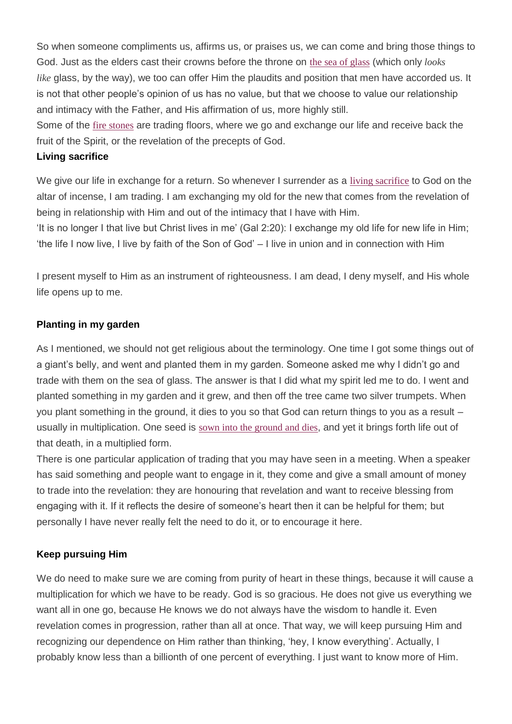So when someone compliments us, affirms us, or praises us, we can come and bring those things to God. Just as the elders cast their crowns before the throne on the sea of [glass](https://www.biblegateway.com/passage/?search=Revelation+4%3A6-11&version=NASB) (which only *looks like* glass, by the way), we too can offer Him the plaudits and position that men have accorded us. It is not that other people's opinion of us has no value, but that we choose to value our relationship and intimacy with the Father, and His affirmation of us, more highly still.

Some of the fire [stones](https://www.biblegateway.com/passage/?search=Ezekiel+28:14&version=NASB) are trading floors, where we go and exchange our life and receive back the fruit of the Spirit, or the revelation of the precepts of God.

### **Living sacrifice**

We give our life in exchange for a return. So whenever I surrender as a living [sacrifice](http://freedomarc.wordpress.com/a-living-sacrifice/) to God on the altar of incense, I am trading. I am exchanging my old for the new that comes from the revelation of being in relationship with Him and out of the intimacy that I have with Him.

'It is no longer I that live but Christ lives in me' (Gal 2:20): I exchange my old life for new life in Him; 'the life I now live, I live by faith of the Son of God' – I live in union and in connection with Him

I present myself to Him as an instrument of righteousness. I am dead, I deny myself, and His whole life opens up to me.

# **Planting in my garden**

As I mentioned, we should not get religious about the terminology. One time I got some things out of a giant's belly, and went and planted them in my garden. Someone asked me why I didn't go and trade with them on the sea of glass. The answer is that I did what my spirit led me to do. I went and planted something in my garden and it grew, and then off the tree came two silver trumpets. When you plant something in the ground, it dies to you so that God can return things to you as a result – usually in multiplication. One seed is sown into the [ground](https://www.biblegateway.com/passage/?search=John+12%3A24&version=NASB) and dies, and yet it brings forth life out of that death, in a multiplied form.

There is one particular application of trading that you may have seen in a meeting. When a speaker has said something and people want to engage in it, they come and give a small amount of money to trade into the revelation: they are honouring that revelation and want to receive blessing from engaging with it. If it reflects the desire of someone's heart then it can be helpful for them; but personally I have never really felt the need to do it, or to encourage it here.

# **Keep pursuing Him**

We do need to make sure we are coming from purity of heart in these things, because it will cause a multiplication for which we have to be ready. God is so gracious. He does not give us everything we want all in one go, because He knows we do not always have the wisdom to handle it. Even revelation comes in progression, rather than all at once. That way, we will keep pursuing Him and recognizing our dependence on Him rather than thinking, 'hey, I know everything'. Actually, I probably know less than a billionth of one percent of everything. I just want to know more of Him.